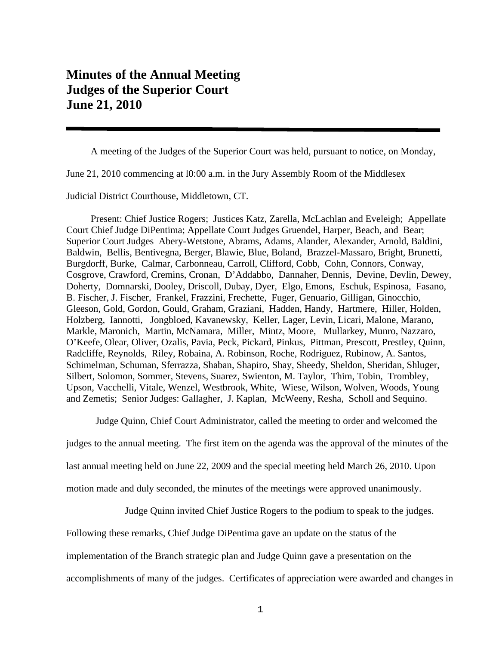## **Minutes of the Annual Meeting Judges of the Superior Court June 21, 2010**

A meeting of the Judges of the Superior Court was held, pursuant to notice, on Monday,

June 21, 2010 commencing at l0:00 a.m. in the Jury Assembly Room of the Middlesex

Judicial District Courthouse, Middletown, CT.

 Present: Chief Justice Rogers; Justices Katz, Zarella, McLachlan and Eveleigh; Appellate Court Chief Judge DiPentima; Appellate Court Judges Gruendel, Harper, Beach, and Bear; Superior Court Judges Abery-Wetstone, Abrams, Adams, Alander, Alexander, Arnold, Baldini, Baldwin, Bellis, Bentivegna, Berger, Blawie, Blue, Boland, Brazzel-Massaro, Bright, Brunetti, Burgdorff, Burke, Calmar, Carbonneau, Carroll, Clifford, Cobb, Cohn, Connors, Conway, Cosgrove, Crawford, Cremins, Cronan, D'Addabbo, Dannaher, Dennis, Devine, Devlin, Dewey, Doherty, Domnarski, Dooley, Driscoll, Dubay, Dyer, Elgo, Emons, Eschuk, Espinosa, Fasano, B. Fischer, J. Fischer, Frankel, Frazzini, Frechette, Fuger, Genuario, Gilligan, Ginocchio, Gleeson, Gold, Gordon, Gould, Graham, Graziani, Hadden, Handy, Hartmere, Hiller, Holden, Holzberg, Iannotti, Jongbloed, Kavanewsky, Keller, Lager, Levin, Licari, Malone, Marano, Markle, Maronich, Martin, McNamara, Miller, Mintz, Moore, Mullarkey, Munro, Nazzaro, O'Keefe, Olear, Oliver, Ozalis, Pavia, Peck, Pickard, Pinkus, Pittman, Prescott, Prestley, Quinn, Radcliffe, Reynolds, Riley, Robaina, A. Robinson, Roche, Rodriguez, Rubinow, A. Santos, Schimelman, Schuman, Sferrazza, Shaban, Shapiro, Shay, Sheedy, Sheldon, Sheridan, Shluger, Silbert, Solomon, Sommer, Stevens, Suarez, Swienton, M. Taylor, Thim, Tobin, Trombley, Upson, Vacchelli, Vitale, Wenzel, Westbrook, White, Wiese, Wilson, Wolven, Woods, Young and Zemetis; Senior Judges: Gallagher, J. Kaplan, McWeeny, Resha, Scholl and Sequino.

Judge Quinn, Chief Court Administrator, called the meeting to order and welcomed the

judges to the annual meeting. The first item on the agenda was the approval of the minutes of the

last annual meeting held on June 22, 2009 and the special meeting held March 26, 2010. Upon

motion made and duly seconded, the minutes of the meetings were approved unanimously.

Judge Quinn invited Chief Justice Rogers to the podium to speak to the judges.

Following these remarks, Chief Judge DiPentima gave an update on the status of the

implementation of the Branch strategic plan and Judge Quinn gave a presentation on the

accomplishments of many of the judges. Certificates of appreciation were awarded and changes in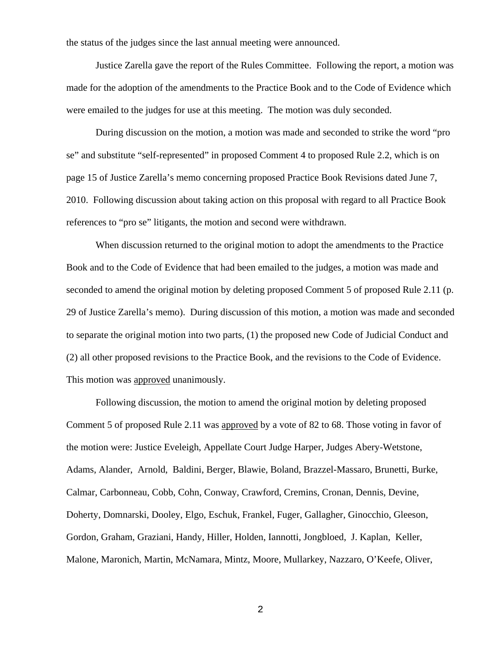the status of the judges since the last annual meeting were announced.

 Justice Zarella gave the report of the Rules Committee. Following the report, a motion was made for the adoption of the amendments to the Practice Book and to the Code of Evidence which were emailed to the judges for use at this meeting. The motion was duly seconded.

During discussion on the motion, a motion was made and seconded to strike the word "pro se" and substitute "self-represented" in proposed Comment 4 to proposed Rule 2.2, which is on page 15 of Justice Zarella's memo concerning proposed Practice Book Revisions dated June 7, 2010. Following discussion about taking action on this proposal with regard to all Practice Book references to "pro se" litigants, the motion and second were withdrawn.

 When discussion returned to the original motion to adopt the amendments to the Practice Book and to the Code of Evidence that had been emailed to the judges, a motion was made and seconded to amend the original motion by deleting proposed Comment 5 of proposed Rule 2.11 (p. 29 of Justice Zarella's memo). During discussion of this motion, a motion was made and seconded to separate the original motion into two parts, (1) the proposed new Code of Judicial Conduct and (2) all other proposed revisions to the Practice Book, and the revisions to the Code of Evidence. This motion was approved unanimously.

Following discussion, the motion to amend the original motion by deleting proposed Comment 5 of proposed Rule 2.11 was approved by a vote of 82 to 68. Those voting in favor of the motion were: Justice Eveleigh, Appellate Court Judge Harper, Judges Abery-Wetstone, Adams, Alander, Arnold, Baldini, Berger, Blawie, Boland, Brazzel-Massaro, Brunetti, Burke, Calmar, Carbonneau, Cobb, Cohn, Conway, Crawford, Cremins, Cronan, Dennis, Devine, Doherty, Domnarski, Dooley, Elgo, Eschuk, Frankel, Fuger, Gallagher, Ginocchio, Gleeson, Gordon, Graham, Graziani, Handy, Hiller, Holden, Iannotti, Jongbloed, J. Kaplan, Keller, Malone, Maronich, Martin, McNamara, Mintz, Moore, Mullarkey, Nazzaro, O'Keefe, Oliver,

2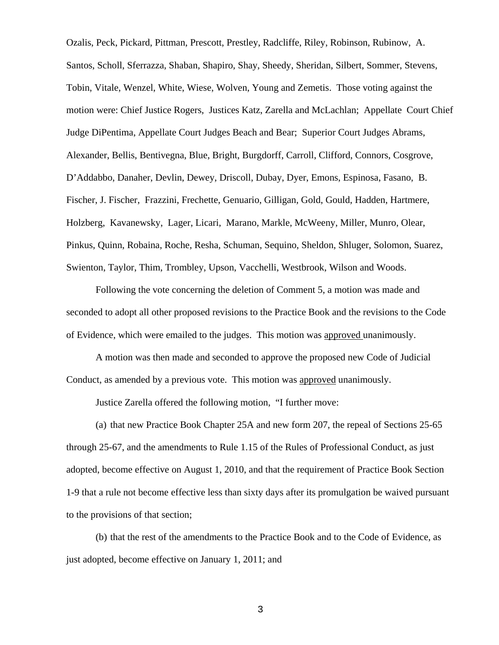Ozalis, Peck, Pickard, Pittman, Prescott, Prestley, Radcliffe, Riley, Robinson, Rubinow, A. Santos, Scholl, Sferrazza, Shaban, Shapiro, Shay, Sheedy, Sheridan, Silbert, Sommer, Stevens, Tobin, Vitale, Wenzel, White, Wiese, Wolven, Young and Zemetis. Those voting against the motion were: Chief Justice Rogers, Justices Katz, Zarella and McLachlan; Appellate Court Chief Judge DiPentima, Appellate Court Judges Beach and Bear; Superior Court Judges Abrams, Alexander, Bellis, Bentivegna, Blue, Bright, Burgdorff, Carroll, Clifford, Connors, Cosgrove, D'Addabbo, Danaher, Devlin, Dewey, Driscoll, Dubay, Dyer, Emons, Espinosa, Fasano, B. Fischer, J. Fischer, Frazzini, Frechette, Genuario, Gilligan, Gold, Gould, Hadden, Hartmere, Holzberg, Kavanewsky, Lager, Licari, Marano, Markle, McWeeny, Miller, Munro, Olear, Pinkus, Quinn, Robaina, Roche, Resha, Schuman, Sequino, Sheldon, Shluger, Solomon, Suarez, Swienton, Taylor, Thim, Trombley, Upson, Vacchelli, Westbrook, Wilson and Woods.

 Following the vote concerning the deletion of Comment 5, a motion was made and seconded to adopt all other proposed revisions to the Practice Book and the revisions to the Code of Evidence, which were emailed to the judges. This motion was approved unanimously.

 A motion was then made and seconded to approve the proposed new Code of Judicial Conduct, as amended by a previous vote. This motion was approved unanimously.

Justice Zarella offered the following motion, "I further move:

(a) that new Practice Book Chapter 25A and new form 207, the repeal of Sections 25-65 through 25-67, and the amendments to Rule 1.15 of the Rules of Professional Conduct, as just adopted, become effective on August 1, 2010, and that the requirement of Practice Book Section 1-9 that a rule not become effective less than sixty days after its promulgation be waived pursuant to the provisions of that section;

(b) that the rest of the amendments to the Practice Book and to the Code of Evidence, as just adopted, become effective on January 1, 2011; and

3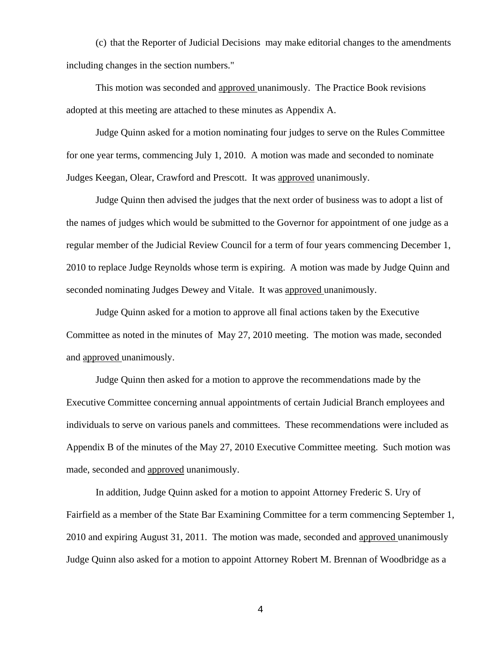(c) that the Reporter of Judicial Decisions may make editorial changes to the amendments including changes in the section numbers."

 This motion was seconded and approved unanimously. The Practice Book revisions adopted at this meeting are attached to these minutes as Appendix A.

 Judge Quinn asked for a motion nominating four judges to serve on the Rules Committee for one year terms, commencing July 1, 2010. A motion was made and seconded to nominate Judges Keegan, Olear, Crawford and Prescott. It was approved unanimously.

 Judge Quinn then advised the judges that the next order of business was to adopt a list of the names of judges which would be submitted to the Governor for appointment of one judge as a regular member of the Judicial Review Council for a term of four years commencing December 1, 2010 to replace Judge Reynolds whose term is expiring. A motion was made by Judge Quinn and seconded nominating Judges Dewey and Vitale. It was approved unanimously.

 Judge Quinn asked for a motion to approve all final actions taken by the Executive Committee as noted in the minutes of May 27, 2010 meeting. The motion was made, seconded and approved unanimously.

 Judge Quinn then asked for a motion to approve the recommendations made by the Executive Committee concerning annual appointments of certain Judicial Branch employees and individuals to serve on various panels and committees. These recommendations were included as Appendix B of the minutes of the May 27, 2010 Executive Committee meeting. Such motion was made, seconded and approved unanimously.

 In addition, Judge Quinn asked for a motion to appoint Attorney Frederic S. Ury of Fairfield as a member of the State Bar Examining Committee for a term commencing September 1, 2010 and expiring August 31, 2011. The motion was made, seconded and approved unanimously Judge Quinn also asked for a motion to appoint Attorney Robert M. Brennan of Woodbridge as a

4